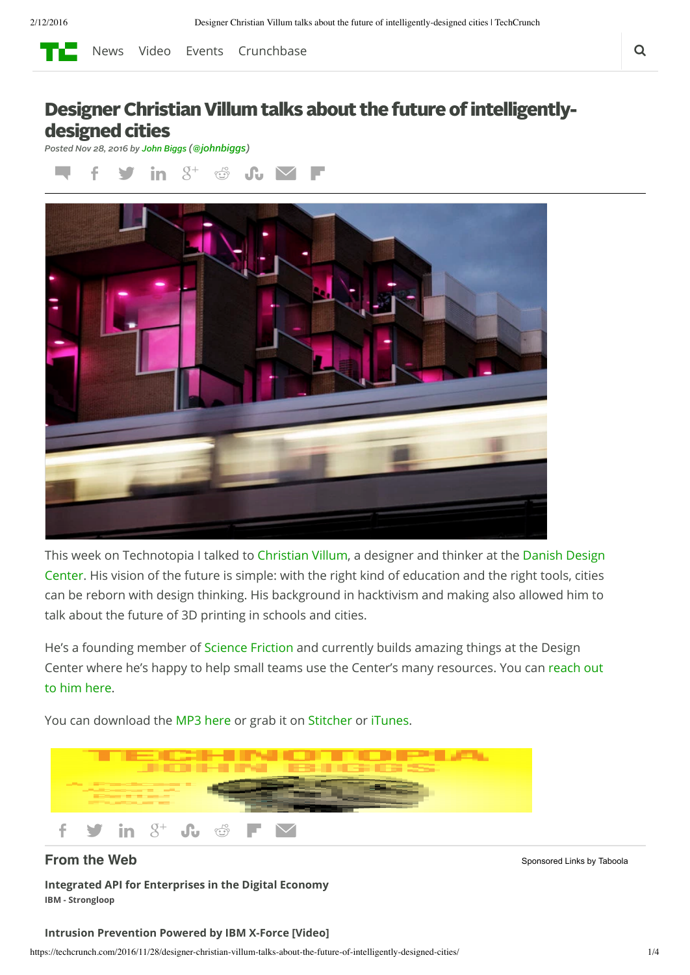

## Designer Christian Villum talks about the future of intelligentlydesigned cities

Posted Nov 28, 2016 by [John Biggs](https://techcrunch.com/author/john-biggs/) [\(@johnbiggs](https://twitter.com/johnbiggs))

 $\blacksquare$  f  $\blacksquare$  in  $S^+$   $\mathfrak{S}^+$   $\blacksquare$ 



[This week on Technotopia I talked to](http://danskdesigncenter.dk/) [Christian Villum](https://www.linkedin.com/in/christianvillum)[, a designer and thinker at the Danish Design](http://danskdesigncenter.dk/) Center. His vision of the future is simple: with the right kind of education and the right tools, cities can be reborn with design thinking. His background in hacktivism and making also allowed him to talk about the future of 3D printing in schools and cities.

He's a founding member of [Science Friction](http://sciencefriction.dk/) and currently builds amazing things at the Design [Center where he's happy to help small teams use the Center's many resources. You can reach out](http://danskdesigncenter.dk/) to him here.

You can download the [MP3 here](http://traffic.libsyn.com/technotopia/technotopia39.mp3) or grab it on [Stitcher](http://www.stitcher.com/s?fid=123180&refid=stpr) or [iTunes.](https://itunes.apple.com/us/podcast/technotopia/id1076105764?mt=2)



## **From the Web** [Sponsored Links](https://popup.taboola.com/en/?template=colorbox&utm_source=aol-techcrunch&utm_medium=referral&utm_content=ab_thumbnails-a_abp-mode:Below%20Article%20Thumbnails:) [by Taboola](https://popup.taboola.com/en/?template=colorbox&utm_source=aol-techcrunch&utm_medium=referral&utm_content=ab_thumbnails-a_abp-mode:Below%20Article%20Thumbnails:)

**IBM - Strongloop [Integrated API for Enterprises in the Digital Economy](https://bs.serving-sys.com/serving/adServer.bs?cn=trd&mc=click&pli=18913744&PluID=0&ord=[timestamp])**

**[Intrusion Prevention Powered by IBM X-Force \[Video\]](http://bs.serving-sys.com/BurstingPipe/adServer.bs?cn=tf&c=20&mc=click&pli=19183672&PluID=0&ord=[timestamp]&utm_source=taboola&utm_medium=referral)**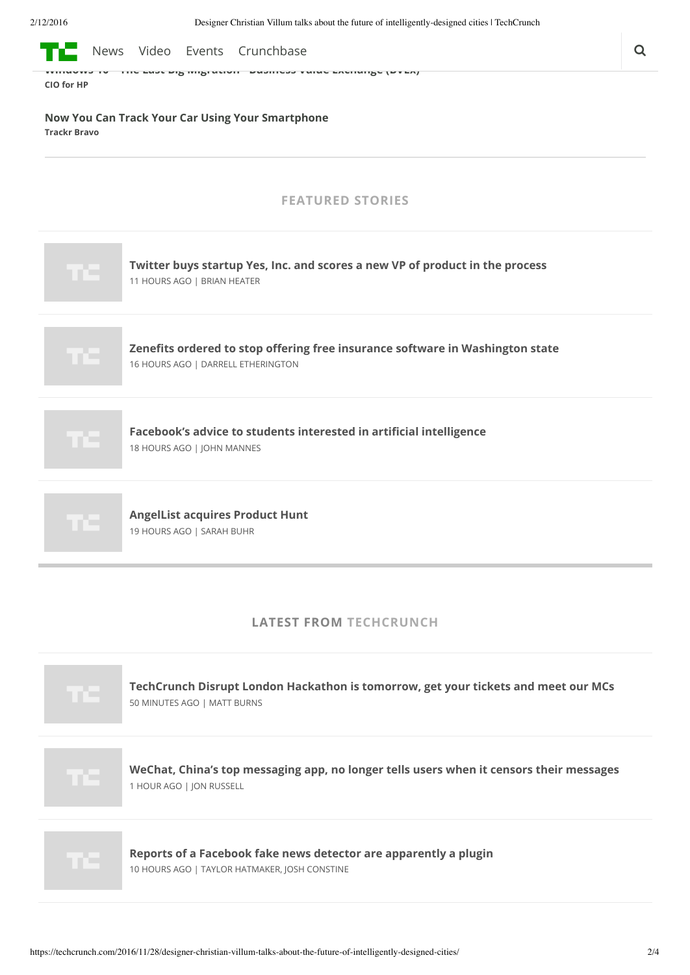

**[IBM Con](https://techcrunch.com/)tent** [News](https://techcrunch.com/) [Video](https://techcrunch.com/video/) [Events](https://techcrunch.com/events/) [Crunchbase](http://bs.serving-sys.com/BurstingPipe/adServer.bs?cn=tf&c=20&mc=click&pli=19183672&PluID=0&ord=[timestamp]&utm_source=taboola&utm_medium=referral)

**[Windows 10 – The Last Big Migration - Business Value Exchange \(BVEx\)](https://businessvalueexchange.com/blog/2016/11/16/windows-10-last-big-migration/?utm_source=taboola&utm_medium=referral)**

**CIO for HP**

#### **[Now You Can Track Your Car Using Your Smartphone](http://trknx.com/path/lp.php?trvid=10046&trvx=82ed3095&cid=12&utm_term=aol-techcrunch) Trackr Bravo**

**FEATURED STORIES**



### **LATEST FROM TECHCRUNCH**

| n H | TechCrunch Disrupt London Hackathon is tomorrow, get your tickets and meet our MCs<br>50 MINUTES AGO   MATT BURNS   |
|-----|---------------------------------------------------------------------------------------------------------------------|
| n H | WeChat, China's top messaging app, no longer tells users when it censors their messages<br>1 HOUR AGO   JON RUSSELL |
|     | Reports of a Facebook fake news detector are apparently a plugin                                                    |

10 HOURS AGO | TAYLOR HATMAKER, JOSH CONSTINE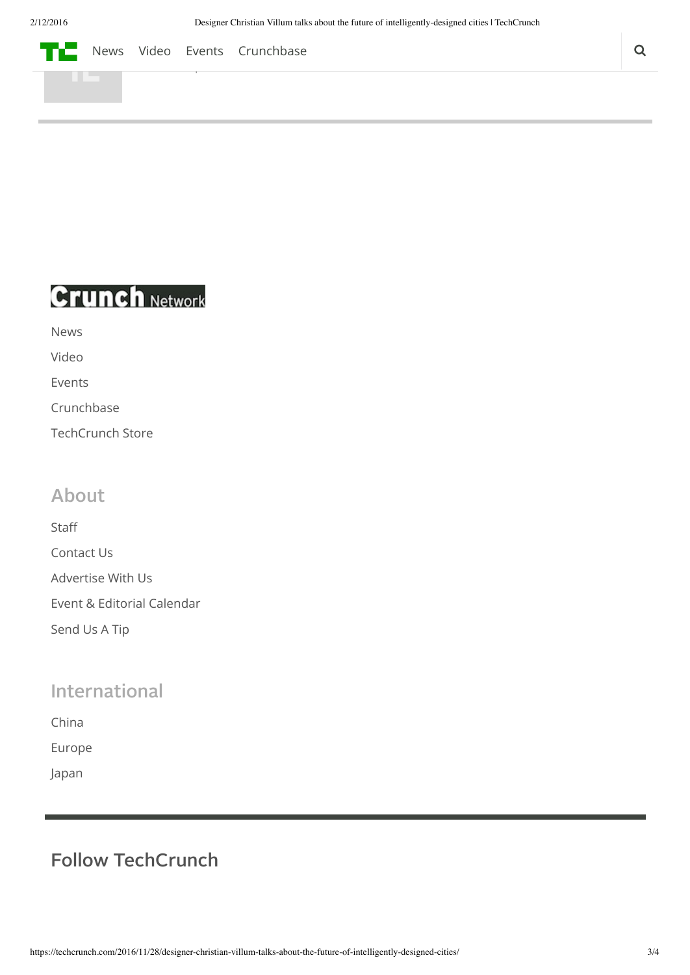

# **Crunch** Network

[News](https://techcrunch.com/)

[Video](https://techcrunch.com/video/)

[Events](https://techcrunch.com/events/)

[Crunchbase](http://www.crunchbase.com/)

[TechCrunch Store](http://techcrunchstore.com/)

## About

[Staff](https://techcrunch.com/about/) [Contact Us](https://techcrunch.com/contact/) [Advertise With Us](https://techcrunch.com/advertise/) [Event & Editorial Calendar](https://techcrunch.com/advertisement-events-calendar/) [Send Us A Tip](https://techcrunch.com/got-a-tip/)

# International

[China](http://techcrunch.cn/)

[Europe](https://techcrunch.com/europe/)

[Japan](http://jp.techcrunch.com/)

# Follow TechCrunch